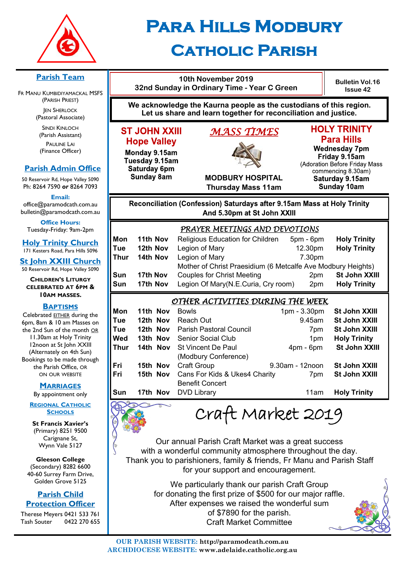

# **Para Hills Modbury Catholic Parish**

#### **Parish Team**

FR MANU KUMBIDIYAMACKAL MSFS (PARISH PRIEST) **JEN SHERLOCK** 

(Pastoral Associate)

SINDI KINLOCH (Parish Assistant) PAULINE LAI (Finance Officer)

#### **Parish Admin Office**

50 Reservoir Rd, Hope Valley 5090 Ph: 8264 7590 *or* 8264 7093

**Email:** 

office@paramodcath.com.au bulletin@paramodcath.com.au

**Office Hours:**  Tuesday-Friday: 9am-2pm

**Holy Trinity Church** 171 Kesters Road, Para Hills 5096

**St John XXIII Church** 50 Reservoir Rd, Hope Valley 5090

**CHILDREN'S LITURGY CELEBRATED AT 6PM & 10AM MASSES.**

#### **BAPTISMS**

Celebrated EITHER during the 6pm, 8am & 10 am Masses on the 2nd Sun of the month OR 11.30am at Holy Trinity 12noon at St John XXIII (Alternately on 4th Sun) Bookings to be made through the Parish Office, OR ON OUR WEBSITE

#### **MARRIAGES**

By appointment only

**REGIONAL CATHOLIC SCHOOLS**

**St Francis Xavier's**  (Primary) 8251 9500 Carignane St, Wynn Vale 5127

**Gleeson College**  (Secondary) 8282 6600 40-60 Surrey Farm Drive, Golden Grove 5125

#### **Parish Child Protection Officer**

Therese Meyers 0421 533 761 Tash Souter 0422 270 655

## **10th November 2019 32nd Sunday in Ordinary Time - Year C Green**

**Bulletin Vol.16 Issue 42**

**We acknowledge the Kaurna people as the custodians of this region. Let us share and learn together for reconciliation and justice.**

## **ST JOHN XXIII Hope Valley**

Monday 9.15am Tuesday 9.15am Saturday 6pm **Sunday 8am** 

# *MASS TIMES*



#### **HOLY TRINITY Para Hills**

**Wednesday 7pm** Friday 9.15am (Adoration Before Friday Mass commencing 8.30am) Saturday 9.15am **Sunday 10am** 

**MODBURY HOSPITAL Thursday Mass 11am**

### Reconciliation (Confession) Saturdays after 9.15am Mass at Holy Trinity And 5.30pm at St John XXIII

|      | PRAYER MEETINGS AND DEVOTIONS |                                                              |                 |                     |
|------|-------------------------------|--------------------------------------------------------------|-----------------|---------------------|
| Mon  | 11th Nov                      | Religious Education for Children                             | 5pm - 6pm       | <b>Holy Trinity</b> |
| Tue  | 12th Nov                      | Legion of Mary                                               | 12.30pm         | <b>Holy Trinity</b> |
| Thur | 14th Nov                      | Legion of Mary                                               | 7.30pm          |                     |
|      |                               | Mother of Christ Praesidium (6 Metcalfe Ave Modbury Heights) |                 |                     |
| Sun  | 17th Nov                      | <b>Couples for Christ Meeting</b>                            | 2 <sub>pm</sub> | St John XXIII       |
| Sun  | 17th Nov                      | Legion Of Mary(N.E.Curia, Cry room)                          | 2 <sub>pm</sub> | <b>Holy Trinity</b> |
|      |                               |                                                              |                 |                     |

#### *OTHER ACTIVITIES DURING THE WEEK*

| Mon  | 11th Nov | <b>Bowls</b>                                  | 1pm - 3.30pm    | St John XXIII       |
|------|----------|-----------------------------------------------|-----------------|---------------------|
| Tue  | 12th Nov | Reach Out                                     | 9.45am          | St John XXIII       |
| Tue  | 12th Nov | <b>Parish Pastoral Council</b>                | 7pm             | St John XXIII       |
| Wed  | 13th Nov | <b>Senior Social Club</b>                     | 1pm             | <b>Holy Trinity</b> |
| Thur | 14th Nov | <b>St Vincent De Paul</b>                     | $4pm - 6pm$     | St John XXIII       |
|      |          | (Modbury Conference)                          |                 |                     |
| Fri  | 15th Nov | <b>Craft Group</b>                            | 9.30am - 12noon | St John XXIII       |
| Fri  |          | <b>15th Nov</b> Cans For Kids & Ukes4 Charity | 7pm             | St John XXIII       |
|      |          | <b>Benefit Concert</b>                        |                 |                     |
| Sun  | 17th Nov | <b>DVD Library</b>                            | 11am            | <b>Holy Trinity</b> |
|      |          |                                               |                 |                     |

Craft Market 2019

Our annual Parish Craft Market was a great success with a wonderful community atmosphere throughout the day. Thank you to parishioners, family & friends, Fr Manu and Parish Staff for your support and encouragement.

> We particularly thank our parish Craft Group for donating the first prize of \$500 for our major raffle. After expenses we raised the wonderful sum of \$7890 for the parish. Craft Market Committee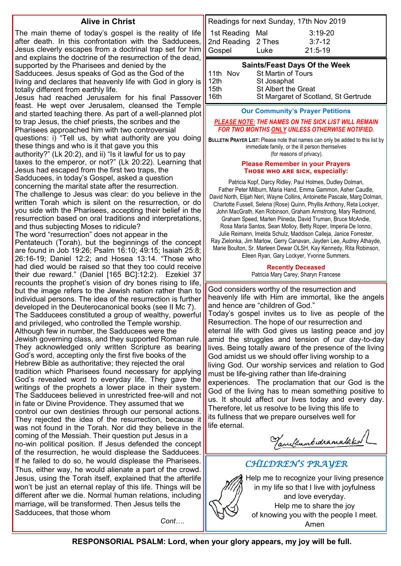#### **Alive in Christ**

The main theme of today's gospel is the reality of life after death. In this confrontation with the Sadducees, Jesus cleverly escapes from a doctrinal trap set for him and explains the doctrine of the resurrection of the dead, supported by the Pharisees and denied by the Sadducees. Jesus speaks of God as the God of the living and declares that heavenly life with God in glory is totally different from earthly life. Jesus had reached Jerusalem for his final Passover feast. He wept over Jerusalem, cleansed the Temple and started teaching there. As part of a well-planned plot to trap Jesus, the chief priests, the scribes and the Pharisees approached him with two controversial questions: i) "Tell us, by what authority are you doing these things and who is it that gave you this authority?" (Lk 20:2), and ii) "Is it lawful for us to pay taxes to the emperor, or not?" (Lk 20:22). Learning that Jesus had escaped from the first two traps, the Sadducees, in today's Gospel, asked a question

concerning the marital state after the resurrection. The challenge to Jesus was clear: do you believe in the written Torah which is silent on the resurrection, or do you side with the Pharisees, accepting their belief in the resurrection based on oral traditions and interpretations, and thus subjecting Moses to ridicule?

The word "resurrection" does not appear in the Pentateuch (Torah), but the beginnings of the concept are found in Job 19:26; Psalm 16:10; 49:15; Isaiah 25:8; 26:16-19; Daniel 12:2; and Hosea 13:14. "Those who had died would be raised so that they too could receive their due reward." (Daniel [165 BC]:12:2). Ezekiel 37 recounts the prophet's vision of dry bones rising to life, but the image refers to the Jewish nation rather than to individual persons. The idea of the resurrection is further developed in the Deuterocanonical books (see II Mc 7). The Sadducees constituted a group of wealthy, powerful and privileged, who controlled the Temple worship. Although few in number, the Sadducees were the Jewish governing class, and they supported Roman rule. They acknowledged only written Scripture as bearing God's word, accepting only the first five books of the Hebrew Bible as authoritative; they rejected the oral tradition which Pharisees found necessary for applying God's revealed word to everyday life. They gave the writings of the prophets a lower place in their system. The Sadducees believed in unrestricted free-will and not in fate or Divine Providence. They assumed that we control our own destinies through our personal actions. They rejected the idea of the resurrection, because it was not found in the Torah. Nor did they believe in the coming of the Messiah. Their question put Jesus in a no-win political position. If Jesus defended the concept of the resurrection, he would displease the Sadducees. If he failed to do so, he would displease the Pharisees. Thus, either way, he would alienate a part of the crowd. Jesus, using the Torah itself, explained that the afterlife won't be just an eternal replay of this life. Things will be different after we die. Normal human relations, including marriage, will be transformed. Then Jesus tells the Sadducees, that those whom

Readings for next Sunday, 17th Nov 2019 1st Reading Mal 3:19-20 2nd Reading 2 Thes 3:7-12 Gospel Luke 21:5-19

#### **Saints/Feast Days Of the Week**

| St Margaret of Scotland, St Gertrude |
|--------------------------------------|
|                                      |

#### **Our Community's Prayer Petitions**

#### *PLEASE NOTE: THE NAMES ON THE SICK LIST WILL REMAIN FOR TWO MONTHS ONLY UNLESS OTHERWISE NOTIFIED.*

**BULLETIN PRAYER LIST:** Please note that names can only be added to this list by immediate family, or the ill person themselves (for reasons of privacy).

#### **Please Remember in your Prayers Those who are sick, especially:**

Patricia Kopf, Darcy Ridley, Paul Holmes, Dudley Dolman, Father Peter Milburn, Maria Hand, Emma Gammon, Asher Caudle, David North, Elijah Neri, Wayne Collins, Antoinette Pascale, Marg Dolman, Charlotte Fussell, Selena (Rose) Quinn, Phyllis Anthony, Reta Lockyer, John MacGrath, Ken Robinson, Graham Armstrong, Mary Redmond, Graham Speed, Marlen Piineda, David Truman, Bruce McAndie, Rosa Maria Santos, Sean Molloy, Betty Roper, Imperia De Ionno, Julie Reimann, Imelda Schulz, Maddison Calleja, Janice Forrester, Ray Zielonka, Jim Marlow, Gerry Canavan, Jayden Lee, Audrey Athayde, Marie Boulton, Sr. Marleen Dewar OLSH, Kay Kennedy, Rita Robinson, Eileen Ryan, Gary Lockyer, Yvonne Summers.

#### **Recently Deceased** Patricia Mary Carey, Sharyn Francese

God considers worthy of the resurrection and heavenly life with Him are immortal, like the angels and hence are "children of God." Today's gospel invites us to live as people of the Resurrection. The hope of our resurrection and eternal life with God gives us lasting peace and joy amid the struggles and tension of our day-to-day lives. Being totally aware of the presence of the living God amidst us we should offer living worship to a living God. Our worship services and relation to God must be life-giving rather than life-draining experiences. The proclamation that our God is the God of the living has to mean something positive to us. It should affect our lives today and every day. Therefore, let us resolve to be living this life to its fullness that we prepare ourselves well for life eternal.

Tanultumbudramalaked

#### *CHILDREN'S PRAYER*

Help me to recognize your living presence in my life so that I live with joyfulness and love everyday. Help me to share the joy of knowing you with the people I meet. Amen

**RESPONSORIAL PSALM: Lord, when your glory appears, my joy will be full.**

*Cont….*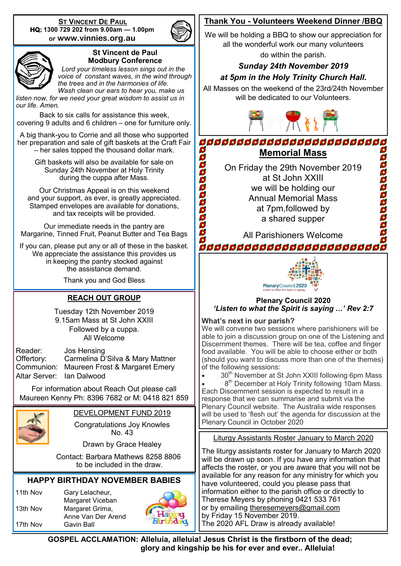**ST VINCENT DE PAUL HQ: 1300 729 202 from 9.00am — 1.00pm or www.vinnies.org.au** 





#### **St Vincent de Paul Modbury Conference**

 *Lord your timeless lesson sings out in the voice of constant waves, in the wind through the trees and in the harmonies of life. Wash clean our ears to hear you, make us* 

*listen now, for we need your great wisdom to assist us in our life. Amen.*

Back to six calls for assistance this week, covering 9 adults and 6 children – one for furniture only.

A big thank-you to Corrie and all those who supported her preparation and sale of gift baskets at the Craft Fair – her sales topped the thousand dollar mark.

> Gift baskets will also be available for sale on Sunday 24th November at Holy Trinity during the cuppa after Mass.

Our Christmas Appeal is on this weekend and your support, as ever, is greatly appreciated. Stamped envelopes are available for donations, and tax receipts will be provided.

Our immediate needs in the pantry are Margarine, Tinned Fruit, Peanut Butter and Tea Bags

If you can, please put any or all of these in the basket. We appreciate the assistance this provides us in keeping the pantry stocked against the assistance demand.

Thank you and God Bless

#### **REACH OUT GROUP**

Tuesday 12th November 2019 9.15am Mass at St John XXIII Followed by a cuppa. All Welcome

| Reader:                   | Jos Hensing                               |
|---------------------------|-------------------------------------------|
| Offertory:                | Carmelina D'Silva & Mary Mattner          |
|                           | Communion: Maureen Frost & Margaret Emery |
| Altar Server: Ian Dalwood |                                           |

For information about Reach Out please call Maureen Kenny Ph: 8396 7682 or M: 0418 821 859



DEVELOPMENT FUND 2019

Congratulations Joy Knowles No. 43

Drawn by Grace Healey

 Contact: Barbara Mathews 8258 8806 to be included in the draw.

#### **HAPPY BIRTHDAY NOVEMBER BABIES**

11th Nov Gary Lelacheur, 13th Nov Margaret Grima,

Margaret Viceban Anne Van Der Arend 17th Nov Gavin Ball



#### **Thank You - Volunteers Weekend Dinner /BBQ**

We will be holding a BBQ to show our appreciation for all the wonderful work our many volunteers

do within the parish.

#### *Sunday 24th November 2019*

#### *at 5pm in the Holy Trinity Church Hall.*

All Masses on the weekend of the 23rd/24th November will be dedicated to our Volunteers.



**BBBBBBBBBBBBBBBBBBBBBBBBB** aaaaaaaaaaa **Memorial Mass** 2000000000000

On Friday the 29th November 2019 at St John XXIII we will be holding our Annual Memorial Mass at 7pm,followed by a shared supper

All Parishioners Welcome

**ã da da da da da da da da da da da** d



#### **Plenary Council 2020** *'Listen to what the Spirit is saying …' Rev 2:7*

#### **What's next in our parish?**

We will convene two sessions where parishioners will be able to join a discussion group on one of the Listening and Discernment themes. There will be tea, coffee and finger food available. You will be able to choose either or both (should you want to discuss more than one of the themes) of the following sessions:

30<sup>th</sup> November at St John XXIII following 6pm Mass

• 8<sup>th</sup> December at Holy Trinity following 10am Mass. Each Discernment session is expected to result in a response that we can summarise and submit via the Plenary Council website. The Australia wide responses will be used to 'flesh out' the agenda for discussion at the Plenary Council in October 2020

Liturgy Assistants Roster January to March 2020

The liturgy assistants roster for January to March 2020 will be drawn up soon. If you have any information that affects the roster, or you are aware that you will not be available for any reason for any ministry for which you have volunteered, could you please pass that information either to the parish office or directly to Therese Meyers by phoning 0421 533 761 or by emailing [theresemeyers@gmail.com](mailto:theresemeyers@gmail.com) by Friday 15 November 2019. The 2020 AFL Draw is already available!

**GOSPEL ACCLAMATION: Alleluia, alleluia! Jesus Christ is the firstborn of the dead; glory and kingship be his for ever and ever.. Alleluia!**